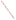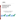# **Environmental Technology Verification Program** Advanced Monitoring Systems Center

Test/QA Plan for Verification of Ozone Indicator Cards

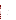# **TEST/QA PLAN**

**for**

# **Verification of Ozone Indicator Cards**

**November 10, 2009**

**Prepared by**

**Battelle 505 King Avenue Columbus, OH 43201-2693**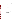Ozone Indicator Cards Test/QA Plan Page 1 of 45 Version 1 November 10, 2009

Ozone Indicator Cards zone marcaror Caros<br>
Test/QA Plan<br>
Page 1 of 45<br>
Version 1<br>
November 10, 2009

#### **SECTION A**

#### PROJECT MANAGEMENT

#### A1 Vendor Approval Page

ETV Advanced Monitoring Systems Center

Test/QA Plan

for

Verification of Ozone Indicator Cards

November 10, 2009

VENDOR ACCEPTANCE:

| Name Dicter Feldberg Defluny |
|------------------------------|
| Company Enviro Scan, Inc.    |
| Date $12/2009$               |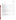#### <span id="page-4-0"></span>**TABLE OF CONTENTS**  $A2$

| Section | Page |
|---------|------|
|         |      |
|         |      |
|         |      |
|         |      |
|         |      |
|         |      |
|         |      |
|         |      |
|         |      |
|         |      |
|         |      |
|         |      |
|         |      |
|         |      |
|         |      |
|         |      |
|         |      |
|         |      |
|         |      |
|         |      |
|         |      |
|         |      |
|         |      |
|         |      |
|         |      |
|         |      |
|         |      |
|         |      |
|         |      |
|         |      |
|         |      |
|         |      |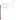| Appendices | Page |
|------------|------|
|            |      |
| Figure     | Page |
|            |      |
| Tables     | Page |
|            |      |
|            |      |
|            |      |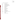<span id="page-6-0"></span>Ozone Indicator Cards Test/QA Plan Page 4 of 45 Version 1 November 10, 2009

# **A3 ACRONYMS AND ABBREVIATIONS**

| <b>ADQ</b>       | audit of data quality                        |
|------------------|----------------------------------------------|
| <b>AMS</b>       | <b>Advanced Monitoring Systems</b>           |
| <b>BCLA</b>      | Breathe California of Los Angeles            |
| <b>EPA</b>       | U.S. Environmental Protection Agency         |
| <b>ETV</b>       | <b>Environmental Technology Verification</b> |
| <b>FEM</b>       | <b>Federal Equivalent Method</b>             |
| <b>LRB</b>       | laboratory record book                       |
| MnO <sub>2</sub> | manganese dioxide                            |
| nm               | nanometer                                    |
| <b>OIC</b>       | ozone indicator card                         |
| ppby             | parts per billion by volume                  |
| PE               | performance evaluation                       |
| QA               | quality assurance                            |
| QC               | quality control                              |
| <b>QMP</b>       | quality management plan                      |
| $r^2$            | coefficient of determination                 |
| <b>RH</b>        | relative humidity                            |
| <b>SCAQMD</b>    | South Coast Air Quality Management District  |
| <b>TSA</b>       | technical systems audit                      |
| T                | temperature                                  |
| <b>UV</b>        | ultraviolet                                  |
| <b>VOC</b>       | volatile organic compounds                   |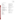Ozone Indicator Cards Test/QA Plan Page 5 of 45 Version 1 November 10, 2009

#### **A4 DISTRIBUTION LIST**

#### **Vendors**

Dieter Feldberg EnviroScan, Inc. 689 Unionville Road Kennett Square, PA 19348

# **EPA**

Michelle Henderson U.S. Environmental Protection Agency ETAV/NRMRL/ORD 26 W. Martin Luther King Dr., MS 208 Cincinnati, OH 45268

John McKernan, ScD, CIH Commander, USPHS Senior Environmental Health Officer U.S. Environmental Protection Agency ETAV/NRMRL/ORD 26 W. Martin Luther King Dr., MS 208 Cincinnati, OH 45268

#### **Battelle**

Amy Dindal Thomas Kelly Brad Goodwin Zachary Willenberg Battelle 505 King Ave. Columbus, OH 43201

#### <span id="page-7-0"></span>**Collaborators/Subcontractors**

Dan Witzling Environmental Program Manager Breathe California of Los Angeles 5858 Wilshire Blvd, Suite 300 Los Angeles, CA 90036

Rudy Eden Laboratory Services and Source Testing South Coast Air Quality Management **District** 21865 E. Copley Drive Diamond Bar, CA 91765

#### **Peer Reviewers**

Dennis Mikel U.S. Environmental Protection Agency Office of Air Quality Planning and **Standards** E-143-02 Research Triangle Park, NC 27711

Will Ollison American Petroleum Institute 1220 L Street Washington, D.C. 2005-4070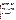#### <span id="page-8-0"></span>**A5 VERIFICATION TEST ORGANIZATION**

The verification test will be conducted under the auspices of the U.S. Environmental Protection Agency (EPA) through the Environmental Technology Verification (ETV) Program. It will be performed by Battelle, which is managing the ETV Advanced Monitoring Systems (AMS) Center through a cooperative agreement with EPA. The scope of the AMS Center covers verification of monitoring technologies for contaminants and natural species in air, water, and soil. This verification will address ozone indicator cards (OICs) that provide short-term semiquantitative measures of ozone concentration in ambient air. The performance of OICs will be judged in part by comparison with measurements made with an EPA-designated reference measurement method (the Federal Equivalent Method [FEM]) for ozone.

The day to day operations of this verification test will be coordinated and supervised by Battelle personnel, with in-kind involvement from personnel of the California South Coast Air Quality Management District (SCAQMD), Breathe California of Los Angeles (BCLA), and the vendors who will be having the performance of their OICs verified. Laboratory testing will be conducted at Battelle in Columbus, Ohio. Field testing will be carried out by SCAQMD and BCLA under Battelle's oversight at multiple locations in southern California. The vendors will provide Battelle with instructions for use of their OICs and enough OICs to make up to 1,000 ozone readings.

The organization chart in Figure 1 identifies the responsibilities of the organizations and individuals associated with the verification test. Roles and responsibilities are defined further below. Quality Assurance (QA) oversight will be provided by the Battelle Quality Manager and also by the EPA AMS Center Quality Manager, at her discretion.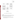

<span id="page-9-0"></span>**Figure 1. Organization Chart for the Verification Test**

# **A5.1 Battelle**

Dr. Thomas Kelly is the AMS Center's Verification Test Coordinator for this test. In this role, Dr. Kelly will have overall responsibility for ensuring that the technical, schedule, and cost goals established for the verification test are met. Specifically, Dr. Kelly will:

- Prepare the draft test/QA plan, verification reports, and verification statements.
- Revise the draft test/QA plan, verification reports, and verification statements in response to reviewers' comments.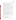- Assemble a team of qualified technical staff to conduct the verification test.
- Establish a budget for the verification test and manage staff to ensure the budget is not exceeded.
- Coordinate with the vendors for provision of OICs for testing.
- Direct Battelle technical staff in the laboratory testing and coordinate with BCLA personnel for performance of the field testing
- Direct the team in performing the verification test in accordance with this test/QA plan.
- Hold a kick-off meeting approximately one week prior to the start of the verification test to review the critical logistical, technical, and administrative aspects of the verification test. Responsibility for each aspect of the verification test will be confirmed.
- Ensure that all quality procedures specified in this EPA Quality Level III test/QA plan and in the AMS Center Quality Management  $Plan<sup>1</sup> (OMP)$  are followed.
- Serve as the primary point of contact for SCAQMD, BCLA, and vendor representatives.
- Ensure that confidentiality of sensitive vendor information is maintained.
- Assist vendors as needed during verification testing.
- Become familiar with the operation of the OICs through instruction by the vendors, if needed.
- Prepare a deviation report for any departure from the test/QA plan during the verification, obtain the requisite EPA and vendor approvals, and distribute the approved report as specified in the AMS Center QMP.
- Respond to any issues raised in assessment reports, audits, or from test staff observations, and institute corrective action as necessary.
- Coordinate distribution of the final test/QA plan, verification reports, and verification statements.

Ms. Amy Dindal is Battelle's Manager for the AMS Center. As such, Ms. Dindal will oversee the various stages of verification testing. Ms. Dindal will:

- Review the draft and final test/QA plan.
- Attend the verification test kick-off meeting.
- Review the draft and final verification reports and verification statements.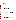- Ensure that necessary Battelle resources, including staff and facilities, are committed to the verification test.
- Maintain communication with EPA's technical and quality managers.
- Issue a stop work order if Battelle or EPA QA staff discover adverse findings that will compromise test results.

Technical staff from Battelle will support Dr. Kelly in planning and conducting the verification test. The responsibilities of the technical staff will be to:

- Assist in planning for the test, and making arrangements for the receipt of and training on the OICs.
- Attend the verification test kick-off meeting.
- Conduct verification testing using the vendors' OIC technology.
- Conduct FEM measurements during the testing.
- Perform statistical calculations specified in this test/QA plan on the technology data as needed.
- Provide results of statistical calculations and associated discussion for the verification reports as needed.
- Support Dr. Kelly in responding to any issues raised in assessment reports and audits related to statistics and data reduction as needed.

Mr. Zachary Willenberg is Battelle's Quality Manager for the AMS Center. Mr. Willenberg will:

- Review the draft and final test/QA plan.
- Attend the verification test kick-off meeting.
- Conduct a technical systems audit (TSA) at least once during the verification test, or designate other QA staff to conduct the audit. That TSA will address both the laboratory and field components of OIC testing.
- Audit at least 10% of the verification data or designate other QA staff to conduct the data audit.
- Prepare and distribute an assessment report for each audit.
- Verify implementation of any necessary corrective action.
- Request that Battelle's AMS Center Manager issue a stop work order if audits indicate that data quality is being compromised.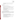- Provide a summary of the QA/quality control (QC) activities and results for the verification reports.
- Review the draft and final verification reports and verification statements.

# **A5.2 OIC Vendor**

The responsibilities of an OIC vendor are as follows:

- Review and provide comments on the draft test/QA plan.
- Accept (by signature of a company representative) the final test/QA plan prior to test initiation.
- Initially provide enough units of their OIC technology to carry out up to 1,000 measurements of ambient ozone during the verification test, and additional units should the need arise during testing.
- Supply instructions on the use of the technology, and written consent for test staff to carry out verification testing.
- Review and provide comments on the draft verification report and verification statement for their respective technology.

# **A5.3 South Coast Air Quality Management District**

The primary point of contact for SCAQMD will be Mr. Rudy Eden. The role of SCAQMD is to assist Battelle in conducting a quantitative comparison of OIC readings with FEM readings. Mr. Eden will lead SCAQMD personnel in meeting the following responsibilities of SCAQMD in this verification:

- Review and provide comments on the draft test/QA plan.
- Select established SCAQMD ambient ozone monitoring sites that exhibit a range of ozone concentrations and are available for this verification.
- Provide sufficient SCAQMD personnel to carry out ambient ozone measurements with OICs at the selected sites.
- Provide ozone and meteorological data from those sites.
- Review and provide comments on the draft verification report and verification statement for each tested OIC technology.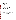# **A5.4 Breathe California of Los Angeles**

The primary point of contact for BCLA will be Mr. Dan Witzling. The role of BCLA is to assist Battelle in conducting a qualitative evaluation of OIC use, including an assessment of OIC duplication and user agreement. The operators of OICs in BCLA testing will be non-technically trained adult volunteers who lead after-school programs in the Long Beach, CA area. The test sites of interest will be elementary and/or secondary schools in Long Beach where potential exposures of school children to ozone are of concern. Mr. Witzling will lead in meeting the following responsibilities of BCLA in this verification:

- Review and provide comments on the draft test/QA plan.
- Identify and coordinate sufficient volunteer personnel to carry out ambient ozone measurements with OICs at sites of interest to BCLA.
- Provide the results of those OIC measurements to Battelle along with user observations about the OICs.
- Conduct wearer acceptance testing of the OICs when worn as a personal exposure badge, and report wearer observations to Battelle.
- Review and provide comments on the draft verification report and verification statement for each tested OIC technology.

# **A5.5 EPA**

EPA's responsibilities in the AMS Center are based on the requirements stated in the "Environmental Technology Verification Program Quality Management Plan" (EPA ETV  $QMP$ ).<sup>2</sup> The roles of specific EPA staff are as follows:

Ms. Michelle Henderson is EPA's AMS Center Quality Manager. For the verification test, Ms. Henderson will:

- Review the draft and approve the final test/QA plan.
- Attend the verification kickoff meeting.
- Review checklists, reports, report responses, and closure statements of TSA, PE audits, and quality systems audits (QSAs) conducted by Battelle.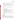- Perform at her option an external TSA of field and/or laboratory activities, performance evaluation (PE) audit, and/or an audit of data quality during the verification test.
- Notify the EPA AMS Center Project Officer of the need for a stop work order if evidence indicates that data quality is being compromised.
- Prepare and distribute an assessment report summarizing results of the external audit performed.
- Review the draft and approve the final verification reports and verification statements.

Dr. John McKernan is EPA's Project Officer for the AMS Center. Dr. McKernan will:

- Review the draft test/QA plan.
- Approve the final test/QA plan.
- Attend the verification kickoff meeting.
- Be available during the verification test to authorize any test/QA plan deviations by phone and provide the name of a delegate to the Battelle AMS Center Manager should he not be available during the testing period.
- Review the draft verification reports and verification statements.
- Oversee the EPA review process for the test/QA plan, verification reports, and verification statements.
- Coordinate the submission of verification reports and verification statements for final EPA approval.
- <span id="page-14-0"></span>• Post the test QA plan, verification reports, and verification statements on the ETV web site.

# **A6 BACKGROUND**

# **A6.1 Technology Need**

The ETV Program's AMS Center conducts third-party performance testing of commercially available technologies that detect or monitor natural species or contaminants in air, water, and soil. The purpose of ETV is to provide objective and quality assured performance data on environmental technologies, so that users, developers, regulators, and consultants can make informed decisions about purchasing and applying these technologies. Stakeholder committees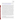Ozone Indicator Cards Test/QA Plan Page 13 of 45 Version 1 November 10, 2009

of buyers and users of such technologies recommend technology categories, and technologies within those categories, as priorities for testing. Verification reports from previous tests are available at [http://www.epa.gov/nrmrl/std/etv/verifiedtechnologies.html.](http://www.epa.gov/nrmrl/std/etv/verifiedtechnologies.html)

Ozone is a widespread pollutant that is formed by photochemical processes involving sunlight, nitrogen oxides, and volatile organic compounds (VOC) in air. The U.S. Clean Air Act and its Amendments established air quality standards for ozone, and pollution control strategies that require state and local authorities to regulate for compliance with the standards. Ozone is regulated because of its effect on human health when air containing elevated concentrations of ozone is inhaled. Because of the costs associated with emission control programs and penalties for those regions that are not in compliance, it is essential that ozone measurements that determine compliance with standards be accurate. For that purpose EPA has established Federal Reference and Equivalent Methods (FRM and FEM) of monitoring ozone.<sup>3</sup> The method currently widely used is the FEM, which makes use of the ozone molecule's strong absorption band in the ultraviolet region of the spectrum, with a maximum coinciding with the strong mercury vapor emission line at 254 nanometers (nm). The FEM has completely supplanted the FRM for all compliance monitoring in the U.S., because of the greater complexity of the FRM and its requirement for flammable ethylene gas. Commercial FEM instruments measure the transmission of UV light through an air sample and compare the intensity with that obtained along the same pathlength through air containing no ozone. A scrubber (typically  $MnO<sub>2</sub>$ or a heated metal scrubber [HMS]) designed to selectively remove ozone from the air, is used to determine the background absorption of UV light by species such as aromatic hydrocarbons. Potential interferences in the FEM ozone measurement, due to removal of UV-absorbing aromatic hydrocarbons by the ozone scrubber, have been identified and may be significant in highly polluted conditions that produce elevated ozone levels of regulatory significance.<sup>4</sup> For assessment of human exposure to ozone in air, less expensive and complex measurements of ozone can be useful. Qualitative methods that approximately indicate the ozone concentration in air can be helpful to people with ailments that cause respiratory sensitivity to ozone.

#### **A6.2 Technology Description**

One simple and inexpensive approach to ozone measurement is the use of colorimetric indicator cards for ozone, which incorporate a reagent that undergoes a color change when exposed to ozone in air. To use the card, a protective film over a reagent spot is removed and the spot is exposed to ambient air for a specified period of time (e.g., 10 minutes). Then the intensity of the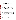resulting color change in the reagent spot is visually compared to a color index printed on the card, providing an estimate of the ozone concentration. Such OICs typically indicate ozone concentrations in a few broad concentration ranges from near zero to over 100 parts per billion by volume (ppbv). The ETV verification described in this test/QA plan will explore the effectiveness and ease of use of OICs and quantify their response relative to the response of FEM instrumentation in laboratory and outdoor testing.

# <span id="page-16-0"></span>**A7 VERIFICATION TEST DESCRIPTION AND SCHEDULE**

#### **A7.1 Verification Test Description**

The purpose of this test/QA plan is to specify procedures for a verification test applicable to commercial OICs. One aspect of the verification test is to compare ozone readings made by the OICs to those made by the FEM UV method for ozone. In performing the verification test, Battelle will follow the technical and QA procedures specified in this test/QA plan and will comply with the data quality requirements in the AMS Center QMP.<sup>1</sup> This is an EPA QA Level III project.

# **A7.2 Verification Schedule**

Table 1 shows the planned schedule of activities for the verification testing and data analysis and reporting. Both laboratory and field testing of OICs will be initiated upon final approval of this test/QA plan, and will take place simultaneously. As shown in Table 1, testing activities are planned to begin in the fall of 2009. Laboratory testing will require approximately one month. Field testing will be split into fall and spring/summer episodes to assure capture of a range of ambient ozone levels. Each of those two field periods will require approximately one month to complete. A separate ETV verification report will then be drafted for each OIC tested, and the report will be reviewed simultaneously by the technology vendor, SCAQMD, and BCLA, and subsequently by peer reviewers. The final reports will be submitted to EPA for final signature, and the final reports will be made publicly available on the EPA/ETV web site.

# **A7.3 Test Facility**

Laboratory analyses will be conducted in Battelle laboratories in Columbus, Ohio. In performing this verification test, Battelle will follow the procedures specified in this test/QA plan and will comply with quality requirements in the AMS Center  $QMP$ <sup>1</sup>. The air quality laboratory that will be used is fully equipped for production, delivery, and calibrated measurement of ozone in test atmospheres of controlled temperature and humidity.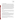#### <span id="page-17-0"></span>**A8 QUALITY OBJECTIVES**

This verification test is designed to evaluate the performance of the OICs for determining ozone in air. Laboratory evaluation will include a comparison of the OIC results to a commercial ozone monitor designated by EPA as an ozone FEM (Thermo Environmental Model 49C, FEM EQOA-0880-047). Ozone will be generated at known concentrations to challenge the OICs, and will be monitored simultaneously by the FEM instrument. The ozone will be generated using an Environics Model 6400 ozone generator that has itself been calibrated against a Dasibi Model 1800 UV calibration photometer. In field testing OIC readings will be compared to those of ozone analyzers operating at SCAQMD air monitoring sites. To the extent possible, SCAQMD sites will be used at which FEM monitors equipped with HMS technology, or FRM monitors, are deployed. However, the choice of field sites and ozone monitors will be subject to SCAQMD discretion. The quality of the ozone data will be documented by calibration data, and documentation of the QA activities carried out by the relevant air quality agencies at the field monitoring sites.

QA/QC requirements will include a TSA, a PE audit, and an audit of data quality (ADQ). These QA procedures will be carried out by Battelle. The planned audit procedures are described in Section C1. The EPA Quality Manager also may conduct an independent TSA, PE audits, and/or ADQ at her discretion.

# <span id="page-17-1"></span>**A9 SPECIAL TRAINING/CERTIFICATION**

Documentation of training related to technology testing, field testing, data analysis, and reporting is maintained for all Battelle technical staff in training files at their respective locations. The Battelle Quality Manager may verify the presence of appropriate training records prior to the start of testing. Battelle technical staff involved in this verification will have experience in operation of ozone calibration and monitoring equipment, and specifically with the Environics, Dasibi, and Thermo Environmental equipment noted in Section A8.

SCAQMD personnel who use the OICs at SCAQMD field sites will be site operators experienced in calibration and performance of FEM ozone measurements at those sites. All Battelle, SCAQMD, and BCLA personnel will receive training in use of the OICs based on the instructions which are printed on every OIC.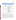| <b>Month and Year</b> | <b>Verification Activity</b>                                                      |                                                                                                                                              |  |  |
|-----------------------|-----------------------------------------------------------------------------------|----------------------------------------------------------------------------------------------------------------------------------------------|--|--|
|                       | <b>Testing</b>                                                                    | <b>Data Analysis and Reporting</b>                                                                                                           |  |  |
| November 2009         | Initiate laboratory and<br>field testing                                          | Begin preparation of ETV report template                                                                                                     |  |  |
| December 2009         | Completion of<br>laboratory testing<br>Completion of first<br>phase field testing | Compile data from laboratory testing<br>Compile data from first phase field testing<br>Review and summarize laboratory operator observations |  |  |
| January-April 2010    |                                                                                   | Analyze laboratory test data<br>Analyze field test data<br>Review and summarize field operator observations<br>Prepare partial draft reports |  |  |
| May-June 2010         | Completion of second<br>phase field testing                                       | Compile data and operator observations from second phase<br>field testing<br>Analyze field test data                                         |  |  |
| <b>July 2010</b>      |                                                                                   | Analyze field test data<br>Prepare draft reports<br>Internal review of draft reports                                                         |  |  |
| August 2010           |                                                                                   | Vendor/BCLA/SCAQMD/EPA review of draft reports<br>Revision of draft reports<br>Peer review of draft reports                                  |  |  |
| September 2010        |                                                                                   | Revision of draft reports<br>Submission of final reports for EPA approval                                                                    |  |  |

#### <span id="page-18-1"></span>**Table 1. Planned Verification Schedule**

# <span id="page-18-0"></span>**A10 DOCUMENTATION AND RECORDS**

The records for this verification test will be contained in the test/QA plan, laboratory record books (LRB), data collection forms, electronic files (both raw data and spreadsheets), the final verification report, or assessment reports. All of these records will be maintained in the Verification Test Coordinator's office during the test and will be transferred to permanent storage at Battelle's Records Management Office within two months of the finalization of the verification reports. All Battelle LRBs are also stored indefinitely, either by the Verification Test Coordinator or within two months of the finalization of the verification reports in Battelle's Records Management Office. EPA will be notified before disposal of any files. Section B10 further details the data recording practices and responsibilities.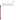All written records will be in ink. Any corrections to notebook entries, or changes in recorded data, will be made with a single line through the original entry. The correction is then to be entered, initialed, and dated by the person making the correction. In all cases, strict confidentiality of data from the vendor's technology will be maintained, i.e., separate files (including manual records, printouts, and/or electronic data files) will be kept for each vendor's technology, and no intercomparison of data from different OIC technologies will be conducted.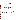<span id="page-20-0"></span>Ozone Indicator Cards Test/QA Plan Page 18 of 45 Version 1 November 10, 2009

#### **SECTION B**

#### **MEASUREMENT AND DATA ACQUISITION**

#### <span id="page-20-1"></span>**B1 EXPERIMENTAL DESIGN**

An OIC consists of a playing-card-size piece of cardboard on which one or more spots of a solid reagent are placed, each spot being approximately 5 mm in diameter. Before use each reagent spot is covered and completely sealed with a thin strip of flexible foil. To use the OIC, the foil is removed from a reagent spot and discarded, and the card is then left exposed to the ambient air for a period of time specified by the vendor (e.g., 10 minutes for use in outdoor air). The reagent reacts with ozone in the air and changes color, typically darkening from white or pale yellow before exposure to darker yellow or brown. The extent of the color change depends on the ozone concentration in the air and the duration of exposure; close adherence to the vendor-specified exposure time allows the color change to be used as an indicator of the ambient ozone concentration. Determination of the ozone concentration is done by visually comparing the color of the exposed reagent spot to a printed color standard immediately after the end of the exposure period. The color standard may be separate from the OIC or printed on the OIC itself, and in the latter case can often be positioned over the exposed reagent spot by folding the OIC so that the reagent spot shows through a hole around which the color standard is printed. The correspondence of color with ozone concentration is qualitative, in that OIC ozone readings fall into broad ranges. For example, one common OIC has four color comparison standards (numbered 1 through 4) which correspond to ozone concentration ranges of 10 to 45, 45 to 75, 75 to 105, and >105 ppbv, respectively. Figure 2 shows examples of commercially available OICs, illustrating the arrangement of reagent spots and the positioning of the color standard. Instructions for use of the OIC are printed on the card.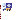Ozone Indicator Cards Test/QA Plan Page 19 of 45 Version 1 November 10, 2009



<span id="page-21-0"></span>**Figure 2. Examples of Ozone Indicator Cards**

This test/QA plan addresses the verification of OICs through laboratory testing and monitoring of ozone in ambient air. Specifically the OICs will be evaluated for the following performance parameters:

- Accuracy
- Variability of readings
- OIC duplication and user agreement
- Effect of light intensity on OIC color development
- Effect of ambient temperature, relative humidity (RH), and wind speed on OIC readings
- Operational factors including ease of use, readability, and use of OICs as personal monitors.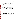Accuracy will be determined by comparing OIC readings to reference ozone measurements made in laboratory and field testing. Variability will be assessed by observing the spread of OIC readings made at constant ozone concentrations. OIC duplication will be assessed by comparing ozone readings made by a single user with duplicate OICs exposed simultaneously. User agreement will be assessed by comparing visual readings made by two different users on the same individual OIC reagent spots. Use of the OICs requires visual reading of the color of a reagent spot; therefore all users will be asked to indicate if they are color-blind or have other visual impairment before taking part in testing, and to remove sunglasses before making OIC visual readings.

The effect of light intensity on OIC color changes will be assessed in the laboratory by comparing OIC readings made by a single user on OICs exposed at a constant ozone level but under varying degrees of illumination. Temperature, RH, and wind speed effects will be estimated by recording the ambient conditions at ozone monitoring sites in the field at the time that OIC and reference FEM measurements are obtained. Operator observations will be recorded in all laboratory and field testing to assess operational factors of the OICs. In all testing, each OIC and reagent spot will be uniquely numbered to facilitate data recording.

#### **B1.1 Test Procedures**

The following sections describe the test procedures that will be used to evaluate each of the performance parameters listed above.

Table 2 summarizes the types and numbers of samples that will be used to verify performance of each OIC. For laboratory testing, test atmospheres will be generated in a small environmental chamber or continuous flow system. The OICs undergoing testing will be placed in the chamber or flow system, and exposed to air of normal temperature and RH (i.e., approximately 22 °C and 50% RH) and controlled ozone content. The temperature, RH, and ozone concentration of the test air will be monitored during each test, using standard commercial temperature and RH sensors and a Thermo Environmental Model 49C UV ozone monitor (FEM EQOA-0880-047). The signals from the ozone monitor and temperature and RH monitors will be recorded using a Campbell Scientific datalogger or similar data acquisition system.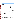|                                                  | <b>Responsible</b>                     | <b>Number of Samples</b> | <b>Associated QC</b>                                                                   |                                                                                        |
|--------------------------------------------------|----------------------------------------|--------------------------|----------------------------------------------------------------------------------------|----------------------------------------------------------------------------------------|
| <b>Sample Type</b>                               | Organization                           | or Readings <sup>a</sup> | <b>Samples</b>                                                                         | <b>Uses</b>                                                                            |
| Laboratory OIC<br>readings                       | Battelle                               | 200<br>30                | NA                                                                                     | Accuracy, variability,<br>OIC duplication, user<br>agreement<br>Light intensity effect |
| Laboratory FEM<br>readings                       | <b>Battelle</b>                        | 200<br>30                | Initial multipoint<br>calibration, daily<br>zero/span check                            | Accuracy, variability,<br>OIC duplication, user<br>agreement<br>Light intensity effect |
| Laboratory light<br>intensity readings           | <b>Battelle</b>                        | 30                       | <b>Battelle</b><br>Instrumentation<br>Laboratory<br>calibration, dark<br>(zero) checks | Light intensity effect                                                                 |
| Laboratory<br>temperature and RH<br>readings     | <b>Battelle</b>                        | Continuous               | <b>Battelle</b><br>Instrumentation<br>Laboratory calibration                           | Documentation of<br>laboratory test<br>conditions                                      |
| Field OIC Readings                               | <b>SCAQMD</b>                          | $120^{\rm b}$            | <b>NA</b>                                                                              | Accuracy, OIC<br>duplication, user<br>agreement, effect of<br>ambient conditions       |
| <b>Field FEM</b><br>Readings                     | <b>SCAQMD</b>                          | $120^{\rm b}$            | Per SCAQMD<br>compliance<br>monitoring program                                         | Accuracy, OIC<br>duplication, user<br>agreement, effect of<br>ambient conditions       |
| Field temperature,<br>RH, wind speed<br>readings | <b>SCAQMD</b>                          | $120^{\rm b}$            | Per SCAQMD<br>maintenance                                                              | Effect of ambient<br>conditions                                                        |
| Field OIC Readings                               | <b>BCLA</b>                            | $120^{\rm b}$            | <b>NA</b>                                                                              | OIC duplication, user<br>agreement                                                     |
| User observations                                | <b>BCLA/Battelle/S</b><br><b>CAQMD</b> | As needed                | <b>NA</b>                                                                              | Operational factors                                                                    |

#### <span id="page-23-0"></span>**Table 2. Summary of OIC Verification Samples**

a: Estimated number of samples/readings per each OIC technology tested.

b: Rough estimate, testing will be subject to responsible organization's discretion.

Field testing will consist of use of the OICs by SCAQMD or BCLA representatives at multiple sites in southern California. SCAQMD representatives will use OICs at sites at which continuous ozone monitoring is carried out for compliance purposes using the FEM. At such sites OIC readings will be recorded and compared to the average FEM readings over the time period of the OIC exposure to ambient air. Temperature, RH, and wind speed data will be recorded by SCAQMD staff during each OIC exposure interval in the field, and those data will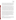Ozone Indicator Cards Test/QA Plan Page 22 of 45 Version 1 November 10, 2009

be evaluated to assess the effects of these conditions on OIC performance. BCLA staff will use OICs at schools in Long Beach, CA where personal exposure of children to ozone may be of particular concern. At both types of sites, multiple OICs will be exposed and read at the same time, and to the extent feasible multiple users will record their visual judgment of the OIC readings. All field testing will be conducted outdoors, and in all testing each OIC will be tested with a single exposure duration (e.g., 10 minutes) specified by the respective vendor.

The total number of OICs required from each vendor for testing will be less than 200; the exact number to be used will depend on field testing factors such as personnel availability, site issues, etc., that cannot be entirely defined in this plan. Laboratory testing is expected to use approximately 40 OICs if each OIC has five reagent spots, so approximately 50 will be required to account for practice runs, damage, etc. The number of OICs to be used by SCAQMD for accuracy testing similarly is planned to be about 25 at five reagent spots per OIC, but practice runs, damage, and greater than expected availability of SCAQMD personnel may double that number. The number of OICs to be used by BCLA will depend on the interest and involvement of volunteer personnel; approximately 60 OICs will be provided to BCLA initially, and the vendor will be prompted for more OICs if volunteer activities consume that initial allotment.

The quality and objectivity of the field evaluations conducted by SCAQMD and BCLA will be assured by the efforts of Battelle technical and QA staff. The Battelle Verification Test Coordinator (Dr. Kelly) will communicate the procedures and expectations for OIC evaluation to both the SCAQMD and BCLA lead representatives (Mr. Eden and Mr. Witzling, respectively), by verbal and written means including this test/QA plan. That communication will be maintained before, during, and after the periods of field testing, and will continue in the data analysis phase of the verification. In addition, the Battelle AMS Center QA Manager will conduct on-site TSAs at both SCAQMD and BCLA field sites during OIC testing. In those efforts he will compare test procedures and data recording efforts to the requirements of this test/QA plan, and direct any necessary improvements.

#### *B1.1.1***–***Accuracy*

The accuracy of the OIC will be determined by comparing OIC readings determined visually to simultaneous measurements made using the FEM. The comparison of accuracy will be made graphically, by plotting OIC readings in indicated OIC ranges (e.g., 10 to 45, 45 to 75, 75 to 105, >105 ppbv etc.) against the ozone concentration measured by the FEM.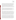In laboratory testing, ozone will be produced using an Environics Model 6400 ozone generator (transfer standard) that has itself been calibrated against a Dasibi Model 1008 UV calibration photometer. Dry high purity air will be used as the feed gas to the Environics Model 6400 ozone generator. The dry air exiting the ozone source will then be mixed with humidified air to produce the challenge ozone concentrations. The ozone concentrations delivered to the OICs will be monitored in the OIC exposure chamber by the FEM instrument. The ozone concentrations delivered to the OICs will be adjusted depending on the OICs being tested so that ozone concentrations both in the middle and near the edges of the OIC indication ranges are used in testing.

For example, with the OIC indication ranges noted in the previous paragraph, ozone challenge concentrations of 30, 50, 70, 90 and 120 ppbv would be suitable. The use of ozone concentrations near the outer limits of OIC ranges will provide information on OIC variability that might not be evident with ozone concentrations centered in the ranges. Ozone concentrations that coincide with the transition points from one OIC range to the next will not be used.

The laboratory ozone challenges will be delivered in air at normal temperature and RH conditions (i.e., approximately 22 °C and 50% RH). For each OIC tested, once reference method readings have stabilized, four cards will be exposed in each laboratory testing step, and each OIC will be read by two different users, who record their readings on separate sheets. Those users will not know the ozone concentration being delivered to the OIC's, i.e., the ozone concentration will be changed between OIC exposures and will be known only by the Battelle test operator. As Table 2 shows, 20 OIC readings will be recorded by each of two users at each of five ozone levels, producing 200 total data points for comparison of OIC and reference method results.

In field testing, SCAQMD personnel will take OICs to established SCAQMD ozone monitoring sites during normal site operations, and expose multiple reagent spots on multiple cards to ambient air while at the sites. Personnel will visually judge each OIC reading, and record it on a data sheet provided by Battelle (an example is shown in Appendix A), along with the date, time, and location of sampling, and the FEM ozone reading, temperature, RH, and wind speed at the site during the OIC exposure period. Potential sites to be used for this purpose by SCAQMD are located in Azusa, Crestline, Glendora, Rubidoux, and Santa Clarita. These sites are all in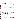mountain foothill locations, and are frequently subject to elevated ambient ozone levels. The relative locations of the FEM inlet and the OICs during exposure at each site will be documented. In each such site visit up to five such readings will be taken with two OICs simultaneously. The intent of this plan is that 12 such site visits will be conducted, producing up to 60 ozone readings with duplicate OICs (120 OIC readings total). Duplicate OIC readings will be obtained by exposing one or more spots on separate OICs over the same 10-minute period, and recording the readings on pre-established data sheets (Appendix A). The unique OIC number, the reagent spot number (1 through 5), and the visual readings of multiple users (if applicable) will be recorded along with the start-stop times for every OIC reading taken. The results will be entered from the data sheets into Microsoft Excel for evaluation of OIC duplicates (i.e., different OIC numbers, same start-stop times, same user) and user duplicates (i.e., same OIC number and reagent spot number, different users).

This effort will be carried out as an in-kind contribution to the verification by SCAQMD, so the actual number of OICs used and readings taken may be subject to other demands on SCAQMD personnel. At a minimum, 6 such site visits, producing up to 30 ozone readings with duplicate OICs (60 OIC readings total) are planned. Also, it is desirable that the OIC visual readings be made by more than one SCAQMD user at the field sites; the feasibility of this may similarly be subject to the demands on SCAQMD personnel.

# *B.1.1.2–Variability of Readings*

Variability of OIC readings refers to the consistency, or lack thereof, in visually determined OIC results with a constant ozone concentration. Variability will be assessed using the multiple readings made by each of two users at five ozone concentrations, in the laboratory accuracy testing described in Section B1.1.1. Variability will be expressed as the number of OIC indication ranges into which the OIC readings fall at each of those concentrations.

# *B1.1.3–Duplication*

The degree of agreement of ozone measurements made simultaneously on duplicate OICs will be assessed using all data in which duplicate OICs are read by a single user. Similarly, the degree of agreement of ozone measurements made by separate users will be assessed using all data in which the same exposed OIC reagent spot is read by more than one user. These two measures of performance are termed OIC duplication and user agreement, respectively, and are intended to address two types of variation in OIC readings. OIC duplication addresses within-user variation,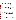whereas user duplication addresses between-user variation. Within-user variation arises from differences in the color development of different reagent spots that have been exposed under identical conditions. Between-user variation arises from visual perception differences in readings made by different individual users on the same exposed reagent spot. These two forms of duplication are distinguished in testing by unique numbering of OICs and reagent spots, and by separate recording of readings made by different users.

In the laboratory testing, data to assess both OIC and user agreement will arise from the tests conducted to assess accuracy (Section B1.1.1). In field testing, such data will arise whenever either SCAQMD or BCLA representatives report visual readings for duplicate OIC cards, or visual readings for the same OIC reagent spot from two different users. Such duplicate readings will be recorded on the field data sheets to be used by SCAQMD and BCLA representatives (see Appendices A and B, respectively). In all cases duplicate readings (whether of duplicate OICs by a single user or of a single OIC by multiple users) will be taken in close succession and under identical lighting conditions immediately after the OIC exposure period.

# *B.1.1.4–Effect of Light Intensity*

The effect of light intensity on OIC response to ozone will be evaluated in laboratory testing by exposing OICs to a constant ozone concentration under different conditions of illumination. In this test, all reagent spots on two OIC cards will be exposed simultaneously to approximately 60 ppb of ozone in air at 22 °C and 50% RH, with the test conducted under normal indoor illumination and the OICs lying horizontal (flat) during testing. The total light intensity reaching the OICs during the test will be monitored by appropriate commercial meters. The same test will be repeated with the OICs in darkness during  $O_3$  exposure, and then repeated once more with the test apparatus illuminated by sunlamps to achieve a light intensity of approximately 100  $mW/cm<sup>2</sup>$ , equivalent to a full overhead sun. The OIC results from the three trials (i.e., 10 readings at each of three light intensities) will be compared to assess whether light intensity affects OIC reading. In all three tests, the same single user will make the visual readings on both OICs under the same normal laboratory illumination conditions.

The light source used in the high light intensity test will be a Class A solar simulator (certified to International Electrotechnical Commission 904-9 and American Society for Testing and Materials E927-05 standards). This light source mimics the entire solar spectrum including the low levels of UV-A (320-400nm) and UV-B (280-320 nm) in the solar spectrum at ground level.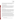A lamp that provides the solar spectrum and intensity characteristic of an overhead sun at sea level (i.e., 1.0 sun intensity with air mass =1.0) will be used. Light intensity will be monitored using Greenlee Model 93-1065F photometers, or similar, obtained from Battelle's Instrumentation Services Laboratory.

# *B1.1.5–Effect of Ambient Conditions*

The effect of ambient temperature, RH, and wind speed will be evaluated based on information provided by SCAQMD personnel from the field sites. The OIC and FEM field ozone results used to determine OIC accuracy (Sections B1.1.1 and B1.2.1) will be segregated into those showing agreement between OIC and FEM results and those showing disagreement. Then the temperature, RH, and wind speed conditions associated with these two data sets will be compared.

# *B1.1.6–Operational Factors*

Operational factors associated with use of the OICs will be evaluated based on the comments and observations of all users (Battelle, SCAQMD, and BCLA) in the laboratory and field testing. Such observations may address the convenience of the OICs, their readability under differing conditions, the apparent consistency of OIC readings, and acceptability as a personal monitor. In particular the observations of BCLA users will be important, as those users are likely to be the relatively non-technically trained users for which the OICs are designed.

In a part of the field testing that is unique to BCLA's effort, BCLA will conduct trials of the use of each OIC as a personal monitor. Exposure of an OIC worn as a personal monitor will be conducted over the same time period as exposure of other OICs at a field site, so that comparisons of OIC results can be made between personal and non-personal measurements. Also, the BCLA representatives will report on the degree to which they could accept the OIC as a personal monitor to be worn; comments on convenience, annoyance while worn, obstruction of movement, conspicuous appearance, and any other user observations will be obtained. In testing of OICs as personal monitors, the manner in which an OIC is worn by a BCLA user will be controlled to avoid erroneous ozone readings. General recommendations for use of the OICs include:

- The OIC must be fully opened;
- Foil covering must be fully removed from the reagent spot, and discarded;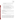- The OIC must be fully exposed to ambient air without surface proximity that can remove ozone from air;
- The visual reading must be made immediately after the OIC exposure period.

Specific recommendations for use of OICs as personal monitors include:

- Attach the OIC so that minimal interference results from surface contact;
- Expose the OIC as a personal monitor simultaneously with exposure of other OICs used as local (i.e., non-personal) air monitors.
- Placement of the OIC in a horizontal (flat) orientation atop a hat or cap is preferable to attachment in a vertical orientation hanging from clothing.
- Recommended order of preference of location of an OIC worn as a personal monitor (the first two provide horizontal orientation, the others are vertical):

top of cap > bill of cap > sleeve (shoulder) > shirt pocket > lapel.

# **B1.2 Statistical Analysis**

The semi-quantitative nature of the OIC readings determines the types of statistical comparisons that can be done to evaluate the performance parameters. The planned statistical comparisons are described in the following sections.

# *B.1.2.1–Accuracy*

The accuracy of the OIC with respect to the FEM will be assessed as a percentage of readings in the correct OIC indication range, i.e.:

$$
Accuracy = (OIC \ in \ Range / Number \ of \ Trials) \times 100 \tag{1}
$$

where *OIC in Range* is the number of total OIC readings reported as being in the OIC indication range that encompasses the corresponding FEM ozone reading, and *Number of Trials* is the total number of such comparisons for which FEM readings fell within that range. This calculation of accuracy will be performed with the data from each of the four challenge ozone concentrations in the laboratory testing, and with the data obtained by SCAQMD at field sites. Readings from OICs exposed simultaneously, and readings from OICs read in the laboratory by more than one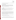user, will be included in this calculation as separate trials (i.e., all OIC/FEM comparisons will be treated as independent data for this calculation).

#### *B1.2.2–Variability of Readings*

Variability of the OIC readings will be evaluated using only the data from the repeated laboratory trials at five ozone challenge concentrations. For each of those concentrations, variability will be determined as the number of OIC indication ranges into which the user readings fall. That is, at ozone concentration X (e.g.):

*Variability X* = (*# of OIC Ranges with Readings at Ozone Concentration X)* (2)

# *B1.2.3–Duplication*

OIC duplication will be assessed in terms of the percentage of readings in which a single user reports a result in the same OIC indicator range from two duplicate OICs exposed simultaneously (regardless of whether that range agrees with FEM ozone results). OIC duplication will be calculated as:

$$
OIC\; Duplication = (Number\;Same\;Range_d/Number\; Duplicates_d) \times 100 \tag{3}
$$

where *Number Same Range<sub>d</sub>* is the number of cases in which a user reading simultaneously exposed reagent spots on duplicate cards reports the same OIC indication range from each card, and *Number Duplicates<sub>d</sub>* is the total number of cases in which one user reads such duplicate exposed reagent spots. This calculation will be done for the data from the five ozone concentrations in laboratory testing, and separately for any cases of duplicate cards used in the field testing performed by SCAQMD and BCLA.

User agreement will be calculated in the same manner, except using data from multiple users reading the same exposed reagent spot on a single OIC, i.e.:

*User Agreement* = (*Number Same Rangeu*/*Number Duplicatesu*) × 100 (4)

where *Number Same Range<sub>u</sub>* is the number of cases in which two users reading the same exposed reagent spot on a card report the same ODC indication range, and *Number Duplicatesu* is the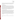total number of cases in which two users read the same exposed reagent spot. This calculation will be done for the data from the duplicate users with five ozone concentrations in laboratory testing, and separately for any cases of duplicate users in the field testing performed by SCAQMD and BCLA.

# *B1.2.4–Effect of Light Intensity*

The effect of light intensity on OIC performance will be assessed using the data from the laboratory testing (section B1.1.4), by calculating the accuracy, variability, and OIC duplication of readings (Sections B1.2.1 through B1.2.3) of the test data at each of the three light intensity conditions. Those results will be compared to indicate whether light intensity has any apparent effect on the OIC performance at a constant ozone concentration. Accuracy or OIC duplication results that differ by more than 20% accuracy or 20% duplication will be taken as evidence of a significant light intensity effect. Similarly, variability results that differ by one or more OIC indication ranges will be taken as evidence of a significant light intensity effect.

# *B.1.2.5–Effect of Ambient Conditions*

The effect of temperature, RH, and wind speed on OIC readings will be assessed by segregating the SCAQMD results into those that are accurate relative to the FEM (as defined in Section B1.2.1), and those that are inaccurate. The temperature, RH, and wind speed data provided by SCAQMD for these two data sets will then be compared to assess whether the conditions associated with inaccurate OIC readings are significantly different from those associated with accurate OIC readings. Comparison of the data sets for significance of differences will be based on t-test comparisons of means. Should data sets contain small numbers of samples  $(n < 10)$ , comparison of ranges will be used as an alternative procedure, based on tabulated values of  $C_n$ and the equation:

$$
\mu = \overline{x} \pm C_n R \tag{5}
$$

where  $\mu$  is the population mean,  $\bar{x}$  is the mean of a small set of samples, and R is the range of values.<sup>5</sup>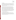# **B1.3 Reporting**

The statistical comparisons described above will be conducted separately for each OIC being tested, and user comments on the operational factors will be compiled and reported. The data for each OIC will be kept separate from data for all other OIC's, and no intercomparison of the data from different vendors' OICs will be performed at any time. A verification report will be prepared for each OIC tested, that presents the test procedures and test data, as well as the results of the statistical evaluation of those data.

Operational aspects of the OICs will be recorded by testing staff at the time of use, and summarized in the verification report. The verification report will briefly describe the ETV program, the AMS Center, the test equipment and test conditions, and the procedures used in verification testing. The results of the verification test will be stated quantitatively, without comparison to any other OICs tested or comment on the acceptability of the technology's performance. The draft verification report will first be subjected to review by the technology vendor, BCLA, and SCAQMD, and then revised and subjected to a review by EPA and/or other peer reviewers. The EPA comments and the peer review comments will be addressed in further revisions of the report, and the comments and responses will be tabulated to document the peer review process. The reporting and review process will be conducted according to the requirements of the AMS Center QMP.<sup>1</sup>

# <span id="page-32-0"></span>**B2 REFERENCE SAMPLE COLLECTION**

Reference sample collection in this verification consists of monitoring ozone in field and laboratory testing using a properly calibrated FEM analyzer. OIC readings of ozone in air will then be compared with the corresponding response of the FEM. The procedures and records of reference method calibrations will be reviewed for both laboratory and field testing as part of the Technical Systems Audit procedure (Section C1.1).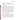#### <span id="page-33-0"></span>**B3 SAMPLE HANDLING AND CUSTODY REQUIREMENTS**

Field data sheets (Appendices A and B) will be filled in by SCAQMD and BCLA representatives. Copies of those sheets will be retained by the respective organization that conducted the field testing, and the originals will be sent to Battelle by tracked shipment (FedEx or similar) for compilation of the data.

#### <span id="page-33-1"></span>**B4 REFERENCE METHOD**

The reference method used for ozone determination in this test is the EPA-established UV absorption FEM, implemented for laboratory testing in the form of a Battelle-owned commercial continuous real-time ozone analyzer. In laboratory testing the FEM analyzer will be operated by Battelle staff according to the manufacturers' instructions, including those for warmup and stabilization time before testing. In field testing, comparable FEM analyzers will be operated by appropriate state or local air quality agencies, with adherence to quality requirements specified for such monitoring in the Code of Federal Regulations. The laboratory FEM ozone analyzer will be operated according to requirements that exceed those for ambient ozone monitoring.<sup>6</sup> Specifically, the laboratory FEM ozone analyzer will be calibrated prior to testing, and then subjected to an ozone zero/span check at the start of each day of testing, using the Environics 6400 ozone transfer standard noted in Section A8. This transfer standard itself will be calibrated against the Dasibi Model 1008 UV primary calibration photometer at the start of testing. In that calibration ozone output of the Environics 6400 will be monitored using the Dasibi photometer at several settings of the Environics 6400, and a calibration curve of output ozone concentration versus Environics setting will be established.

# <span id="page-33-2"></span>**B5 QUALITY CONTROL REQUIREMENTS**

Quality of the laboratory reference ozone measurements will be assured by a calibration of the FEM ozone analyzer before any testing, and a daily one-point check of the FEM analyzer at the start of each day of testing, using the ozone transfer standard. The pre-testing calibration slope must equal  $1 \pm 0.02$  and the coefficient of determination  $(r^2)$  must be greater than 0.95 before testing can proceed. The FEM reading on the one-point daily check must be within 5% of the ozone concentration from the transfer standard before testing can begin on that day. The FEM will be adjusted if necessary to meet that daily requirement. Quality of the field reference measurements will be assured by SCAQMD records of the calibration and maintenance of FEM monitors at the field sites.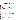# <span id="page-34-0"></span>**B6 INSTRUMENT/EQUIPMENT TESTING, INSPECTION, AND MAINTENANCE**

The Thermo Environmental FEM ozone analyzer owned by Battelle and used as the reference ozone measurement will be tested, inspected, maintained, and calibrated per the manufacturer's operating instructions, so as to meet the quality control requirements stated in Section B5. Other equipment such as the temperature and RH monitoring instruments will be obtained from the Battelle Instrument Services Laboratory and will have been calibrated within the past year.

# <span id="page-34-1"></span>**B7 INSTRUMENT CALIBRATION AND FREQUENCY**

Prior to the start of the OIC laboratory testing a multipoint calibration will be performed on the Battelle FEM analyzer using an Environics Model 6400 ozone generator (transfer standard) that has itself been calibrated against a Dasibi Model 1008 UV primary calibration photometer. This calibration will include ozone concentrations in the range of 10 to 150 ppbv; that range spans all the ozone challenge concentrations to be used in laboratory testing and the full useful range of the OICs. The ozone calibration standards will be generated in dry high purity air. Also, on each day of testing the FEM analyzer will be challenged with zero air and a single point ozone span check. Consistent with CFR requirements, $<sup>6</sup>$  the daily ozone checks will</sup> be in the range of 10 to 100 ppbv and will be supplied to the analyzer through the entire normal sample flow path, including the inlet line, particle filter, and internal analyzer plumbing including the ozone scrubber. However, to assure consistent data quality in laboratory testing of OICs, the daily frequency of these ozone checks greatly exceeds the biweekly frequency required for continuous ambient ozone monitoring.<sup>6</sup>

# <span id="page-34-2"></span>**B8 INSPECTION/ACCEPTANCE OF SUPPLIES AND CONSUMABLES**

All materials, supplies, and consumables will be ordered by the Verification Test Coordinator or designee. Where possible, Battelle will rely on sources of materials and consumables that have been used previously as part of ETV verification testing without problems.

# <span id="page-34-3"></span>**B9 NON-DIRECT MEASUREMENTS**

Data published previously in the scientific literature will not be used to evaluate the vendor's technology during this verification test.

# <span id="page-34-4"></span>**B10 DATA MANAGEMENT**

Various types of data will be acquired and recorded electronically or manually by Battelle, SCAQMD, and BCLA during this verification test. Table 3 summarizes the types of data to be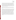recorded, how and by whom the data will be recorded, and how the data will be treated or used. All observations relevant to the laboratory testing of the OICs will be documented by Battelle staff in laboratory record books. Results from the laboratory FEM and temperature and RH monitors will be recorded in electronic format. Preprinted data sheets (Appendix A) will be used by SCAQMD to record OIC readings, ozone, temperature, RH, and operator observations in the field. It will also be requested that electronic files be provided by SCAQMD to document ozone, temperature, and RH. Preprinted data sheets (Appendix B) will be used by BCLA to record OIC readings and operator observations in the field.

All Battelle LRBs, record books and files are stored indefinitely, either by the Verification Test Coordinator or Battelle's Records Management Office. EPA will be notified before disposal of any files.

Records generated by any Battelle staff during the verification test will be reviewed by a Battelle staff member within two weeks of generation, before the records are used to calculate, evaluate, or report verification results. This review will be performed by a Battelle technical staff member involved in the verification test, but not the staff member who originally received or generated the record. The review will be documented by the person performing the review by adding his/her initials and date to the hard copy of the record being reviewed. Data entered from hard copy records into spreadsheets will be reviewed in hard copy within the two-week window. Spreadsheet entries will be checked as part of the ADQ (Section C1.3). In addition, any calculations performed by Battelle staff will be spot-checked by another Battelle technical staff member to ensure that calculations are performed correctly. All such calculations will be done by incorporating Equations 1 to 5 from Section B1.2 into electronic spreadsheets as formulae, and this spot-checking will be done by reviewing the correctness of the entered formulae. The data obtained from this verification test will be compiled and reported independently for each COA tested.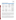<span id="page-36-0"></span>Ozone Indicator Cards Test/QA Plan Page 34 of 45 Version 1 November 10, 2009

| <b>Data to Be Recorded</b>                                        | <b>Where Recorded</b>                                               | <b>How Often Recorded</b>                                                    | <b>Disposition of Data</b>                                                                                  |
|-------------------------------------------------------------------|---------------------------------------------------------------------|------------------------------------------------------------------------------|-------------------------------------------------------------------------------------------------------------|
| Dates, times, and details<br>of laboratory test events            | Battelle record books                                               | Start/end of test<br>procedure, and at each<br>change of a test<br>parameter | Used to organize/check test<br>results; manually<br>incorporated in electronic<br>spreadsheets as necessary |
| Laboratory FEM QA<br>results                                      | Battelle record books, or<br>electronically                         | At FEM calibration or re-<br>calibration                                     | Incorporated in verification<br>report as necessary                                                         |
| Temperature, RH, light<br>intensity data in<br>laboratory testing | Recorded electronically<br>and noted in Battelle<br>record books    | Start/end of test<br>procedure, and at each<br>change of a test<br>parameter | Incorporated in verification<br>report as necessary                                                         |
| Laboratory OIC<br>readings                                        | Battelle record books                                               | At each reading                                                              | Converted to spreadsheet for<br>statistical analysis and<br>comparisons                                     |
| OIC readings at field<br>sites                                    | Field data sheets by<br><b>SCAQMD</b> or BCLA                       | At each reading                                                              | Converted to spreadsheet for<br>statistical analysis and<br>comparisons                                     |
| FEM readings,<br>temperature, RH, wind<br>speed at field sites    | Field data sheets or<br>recorded electronically by<br><b>SCAQMD</b> | Coincident with OIC<br>exposures to ambient air                              | Converted to spreadsheets for<br>statistical analysis and<br>comparisons                                    |
| User observations at<br>field sites                               | Field data sheets by<br><b>SCAQMD</b> or <b>BCLA</b>                | At each use of OICs                                                          | Incorporated in verification<br>report as necessary                                                         |

#### **Table 3. Summary of Data Recording Process**

Field data sheets filled out by SCAQMD or BCLA representatives will be reviewed by the lead SCAQMD or BCLA representative for completeness and consistency within one week after they are filled out. SCAQMD and BCLA will then retain copies of their respective data sheets and send the originals to Battelle. The Battelle Test Coordinator or Quality Manager will review all such data sheets immediately upon receipt. Any corrections needed in how SCAQMD or BCLA representatives fill in the forms will be implemented immediately.

Among the QA activities conducted by Battelle QA staff will be an audit of data quality. This audit will consist of a review by the Battelle Quality Manager of at least 10% of the test data. During the course of any such audit, the Battelle Quality Manager will inform the technical staff of any findings and any immediate corrective action that should be taken. If serious data quality problems exist, the Battelle Quality Manager will notify the AMS Center Manager, who is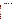authorized to stop work. Once the assessment report has been prepared, the Verification Test Coordinator will ensure that a response is provided for each adverse finding or potential problem, and will implement any necessary follow-up corrective action. The Battelle Quality Manager will ensure that follow-up corrective action has been taken.

Field data sheets, laboratory record book entries, and other hard copy data will be converted to Portable Document Format (.pdf) files and submitted to the EPA Quality Manager along with compiled Excel files of test data within two weeks after Battelle's ADQ is completed. The EPA Quality Manager may conduct an ADQ, at her discretion, and appropriate action will be taken in response to any findings.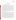<span id="page-38-0"></span>Ozone Indicator Cards Test/QA Plan Page 36 of 45 Version 1 November 10, 2009

#### **SECTION C**

#### **ASSESSMENT AND OVERSIGHT**

#### <span id="page-38-1"></span>**C1 ASSESSMENTS AND RESPONSE ACTIONS**

Every effort will be made in this verification test to anticipate and resolve potential problems before the quality of performance is compromised. One of the major objectives of this test/QA plan is to establish mechanisms necessary to ensure this. The procedures described in this test/QA plan, which is peer reviewed by a panel of outside experts, implemented by the technical staff and monitored by the Verification Test Coordinator, will give information on data quality on a day-to-day basis. The responsibility for interpreting the results of these checks and resolving any potential problems resides with the Verification Test Coordinator. Technical staff have the responsibility to identify problems that could affect data quality or the ability to use the data. Any problems that are identified will be reported to the Verification Test Coordinator, who will work with the Battelle Quality Manager to resolve any issues. Action will be taken to control the problem, identify a solution to the problem, and minimize losses and correct data, where possible. Independent of any EPA QA activities, Battelle will be responsible for ensuring that the audits described below are conducted as part of this verification test.

#### **C1.1 Technical Systems Audits**

The Battelle Quality Manager will perform a technical systems audit (TSA) at least once during this verification test, in both the laboratory and field testing locations. The purpose of this audit is to ensure that the verification test is being performed in accordance with the AMS Center  $QMP$ , this test/QA plan, and the published reference method. In the TSA, the Battelle Quality Manager or a designee may review the reference method used, compare actual test procedures to those specified or referenced in this plan, and review data acquisition and handling procedures. In the laboratory, the Battelle Quality Manager may inspect the ozone challenge delivery system, observe the ozone monitoring and test procedures, and review data records. He may also check calibration certifications for test measurement devices. In the field the Battelle Quality Manager may inspect SCAQMD site QA records, observe SCAQMD and BCLA test procedures, and review data records. At his discretion, the Battelle Quality Manager may conduct a TSA at both SCAQMD and BCLA sites in both the Fall 2009 and Summer 2010 field periods (see Section A7.2). A TSA report will be prepared, including a statement of findings and the actions taken to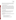address any adverse findings. The EPA AMS Center Quality Manager will receive a copy of Battelle's TSA report. At EPA's discretion, EPA QA staff may also conduct an independent TSA during the verification test. The TSA findings will be communicated to technical staff at the time of the audit and documented in a TSA report.

# **C1.2 Performance Evaluation Audit**

A PE audit of the ozone measurements will be done to confirm the accuracy of the Battelleowned Dasibi 1008 UV photometer as the basis for the FEM calibration in this verification. A side-by-side comparison will be done to establish the traceability of the Battelle Dasibi 1008 UV photometer relative to the standard photometer owned by the Ohio EPA, which is also a Dasibi 1008, and which is traceable to the primary ozone standard reference photometer located at EPA Region 5, Chicago, Illinois. In the side-by-side comparison, agreement of the Battelle and Ohio EPA photometers within 2% or 1 ppbv ozone (whichever is larger) will be the target. Should agreement fall outside this tolerance, the Battelle photometer data will be corrected to match the Ohio EPA photometer readings.

# **C1.3 Audit of Data Quality**

The Battelle Quality Manager will audit at least 10% of the verification data acquired in the verification test. The Battelle Quality Manager will trace the data from initial acquisition, through spreadsheet entry, reduction and statistical comparisons, to final reporting. All calculations performed on the data undergoing the audit will be checked.

# **C1.4 QA/QC Reporting**

Each assessment and audit will be documented in accordance with Sections 3.3.4 and 3.3.5 of the AMS Center QMP.<sup>1</sup> The results of all audits will be submitted to EPA. Assessment reports will include the following:

- Identification of any adverse findings or potential problems
- Response to adverse findings or potential problems
- Recommendations for resolving problems
- Confirmation that solutions have been implemented and are effective
- Citation of any noteworthy practices that may be of use to others.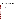Ozone Indicator Cards Test/QA Plan Page 38 of 45 Version 1 November 10, 2009

#### <span id="page-40-0"></span>**C2 REPORTS TO MANAGEMENT**

The Battelle Quality Manager, during the course of any assessment or audit, will identify to the technical staff performing experimental activities any immediate corrective action that should be taken. If serious quality problems exist, the Battelle Quality Manager will notify the AMS Center Manager, who is authorized to stop work. Once the assessment report has been prepared, the Verification Test Coordinator will ensure that a response is provided for each adverse finding or potential problem and will implement any necessary follow-up corrective action. The Battelle Quality Manager will ensure that follow-up corrective action has been taken. The test/QA plan and final report are reviewed by EPA AMS Center QA staff and EPA AMS Center program management staff. Upon final review and approval, both documents will then be posted on the ETV website (www.epa.gov/etv).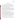#### <span id="page-41-0"></span>**SECTION D**

#### **DATA VALIDATION AND USABILITY**

#### <span id="page-41-1"></span>**D1 DATA REVIEW, VALIDATION, AND VERIFICATION REQUIREMENTS**

The key data review requirements for the verification test are stated in Section B10 of this test/QA plan. The QA audits described in Section C1 of this document, including the audit of data quality, are designed to assure the quality of the data. Data will be verified for completeness, correctness, and compliance with the procedures as written in this test/QA plan.

#### <span id="page-41-2"></span>**D2 VALIDATION AND VERIFICATION METHODS**

Section C of this test/QA plan provides a description of the validation safeguards employed for this verification test. Data validation and verification efforts include the use of an EPA-certified FEM and appropriate ozone calibration equipment, and the performance of TSA and data audits as described in Section C. An audit of data quality will be conducted by the Battelle Quality Manager to ensure that data review and validation procedures were completed, and to assure the overall quality of the data. Any findings will be communicated to technical staff at the time of the audit and documented in a report.

#### <span id="page-41-3"></span>**D3 RECONCILIATION WITH USER REQUIREMENTS**

The purpose of this test is to evaluate the performance of OICs. The data obtained should include thorough documentation to allow verification of the performance of each OIC. Potential limitations of the data are primarily expected to take the form of incomplete recording of data on test forms, e.g., card numbers, reagent spot numbers, site or user identification. Such limitations will be minimized by instructions for use of the forms, review of the data forms, and prompt correction of recording procedures. The data review and validation procedures described in the previous sections will assure that data meet these requirements and are accurately presented in the evaluation reports generated from this test. Data for which incomplete recording cannot be resolved will be retained but will be flagged and not used for OIC verification.

This test/QA plan and the resulting ETV verification report(s) will be subjected to review by the OIC vendors, BCLA, SCAQMD, EPA, and expert peer reviewers. These reviews will assure that this test/QA plan and the resulting report(s) meet the needs of potential users of OICs. The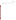final report(s) will be submitted to EPA in Word and Adobe PDF compliant format and subsequently posted on the ETV website.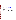# <span id="page-43-0"></span>**SECTION E**

# **REFERENCES**

- 1. *Quality Management Plan (QMP) for the ETV Advanced Monitoring Systems Center, Version 7.0,* Environmental Technology Verification Program, Battelle, November 2008.
- 2. Environmental Technology Verification Program *Quality Management Plan.* Version 3.0, EPA/600/R-08/009, January, 2008.
- 3. Federal Reference and Equivalent Methods established by Code of Federal Regulations, Title 40, Part 53; a list of commercial devices designated as Reference or Equivalent Methods is available at [http://www.epa.gov/ttn/amtic/criteria.html.](http://www.epa.gov/ttn/amtic/criteria.html)
- 4. Leston, A.L., W.M. Ollison, C.W. Spicer, and J. Satola, J. Air Waste Manage. Assoc., 55, 1464-1472, 2005.
- 5. Statistics in Quantitative Analysis, in Chemical Analysis, H.A. Laitinen, McGraw-Hill, New York, 1960.
- 6. Code of Federal Regulations, Title 40 Chapter 1 Part 58 Appendix A Quality Assurance Requirements for SLAMS, SPMs, and PSD Air Monitoring, Environmental Protection Agency, July 1, 2009 edition.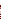Ozone Indicator Cards Test/QA Plan Page 42 of 45 Version 1 November 10, 2009

**Appendix A**

**Field Data Sheet for Use by SCAQMD**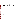# Field Data Sheet for Use by SCAQMD in Verification of Ozone Indicator Cards (OICs)

| OIC Reagent Spot<br><b>Number Number</b> | <u>Time</u><br><b>Start</b> Stop | $Init/Fina$ (ppb) (F) | Reading FEM O <sub>3</sub> Temp RH Wind Spd.<br>$($ %)<br>(mph) |
|------------------------------------------|----------------------------------|-----------------------|-----------------------------------------------------------------|
|                                          |                                  |                       |                                                                 |
|                                          |                                  |                       |                                                                 |
|                                          |                                  |                       |                                                                 |
|                                          |                                  |                       |                                                                 |
|                                          |                                  |                       | _______ _____ ______ ___/___ _______ _____ _____ _____ _____    |
|                                          |                                  |                       |                                                                 |
|                                          |                                  |                       |                                                                 |
|                                          |                                  |                       |                                                                 |
|                                          |                                  |                       |                                                                 |
|                                          |                                  |                       |                                                                 |

a: Init = initial reading when foil first removed from spot;  $Fnl$  = reading after spot exposed to air.

**User Observations:**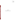Ozone Indicator Cards Test/QA Plan Page 44 of 45 Version 1 November 10, 2009

**Appendix B**

**Field Data Sheet for Use by BCLA**